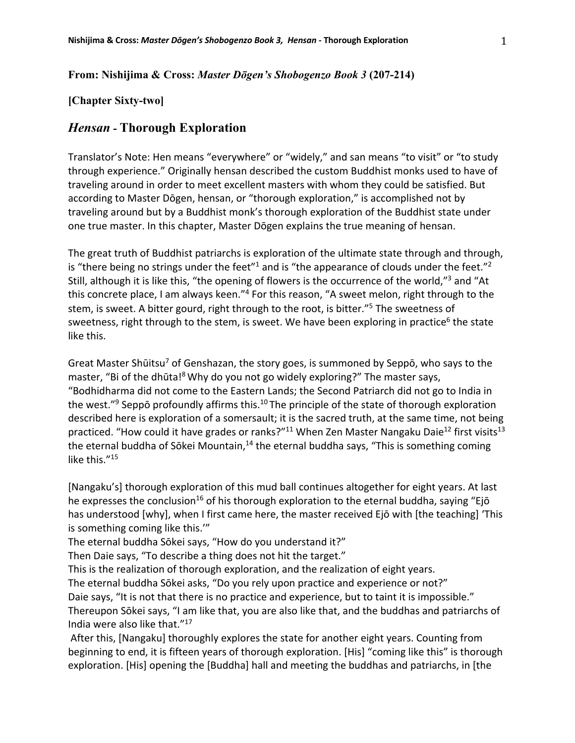**From: Nishijima & Cross:** *Master Dōgen's Shobogenzo Book 3* **(207-214)**

## **[Chapter Sixty-two]**

## *Hensan -* **Thorough Exploration**

Translator's Note: Hen means "everywhere" or "widely," and san means "to visit" or "to study through experience." Originally hensan described the custom Buddhist monks used to have of traveling around in order to meet excellent masters with whom they could be satisfied. But according to Master Dōgen, hensan, or "thorough exploration," is accomplished not by traveling around but by a Buddhist monk's thorough exploration of the Buddhist state under one true master. In this chapter, Master Dōgen explains the true meaning of hensan.

The great truth of Buddhist patriarchs is exploration of the ultimate state through and through, is "there being no strings under the feet"<sup>1</sup> and is "the appearance of clouds under the feet."<sup>2</sup> Still, although it is like this, "the opening of flowers is the occurrence of the world,"3 and "At this concrete place, I am always keen."4 For this reason, "A sweet melon, right through to the stem, is sweet. A bitter gourd, right through to the root, is bitter."<sup>5</sup> The sweetness of sweetness, right through to the stem, is sweet. We have been exploring in practice<sup>6</sup> the state like this.

Great Master Shūitsu<sup>7</sup> of Genshazan, the story goes, is summoned by Seppō, who says to the master, "Bi of the dhūta! $8$  Why do you not go widely exploring?" The master says, "Bodhidharma did not come to the Eastern Lands; the Second Patriarch did not go to India in the west."<sup>9</sup> Seppō profoundly affirms this. $10$  The principle of the state of thorough exploration described here is exploration of a somersault; it is the sacred truth, at the same time, not being practiced. "How could it have grades or ranks?"<sup>11</sup> When Zen Master Nangaku Daie<sup>12</sup> first visits<sup>13</sup> the eternal buddha of Sōkei Mountain,<sup>14</sup> the eternal buddha says, "This is something coming like this."<sup>15</sup>

[Nangaku's] thorough exploration of this mud ball continues altogether for eight years. At last he expresses the conclusion<sup>16</sup> of his thorough exploration to the eternal buddha, saying "Ejō has understood [why], when I first came here, the master received Ejō with [the teaching] 'This is something coming like this.'"

The eternal buddha Sōkei says, "How do you understand it?"

Then Daie says, "To describe a thing does not hit the target."

This is the realization of thorough exploration, and the realization of eight years.

The eternal buddha Sōkei asks, "Do you rely upon practice and experience or not?"

Daie says, "It is not that there is no practice and experience, but to taint it is impossible." Thereupon Sōkei says, "I am like that, you are also like that, and the buddhas and patriarchs of

India were also like that."17

After this, [Nangaku] thoroughly explores the state for another eight years. Counting from beginning to end, it is fifteen years of thorough exploration. [His] "coming like this" is thorough exploration. [His] opening the [Buddha] hall and meeting the buddhas and patriarchs, in [the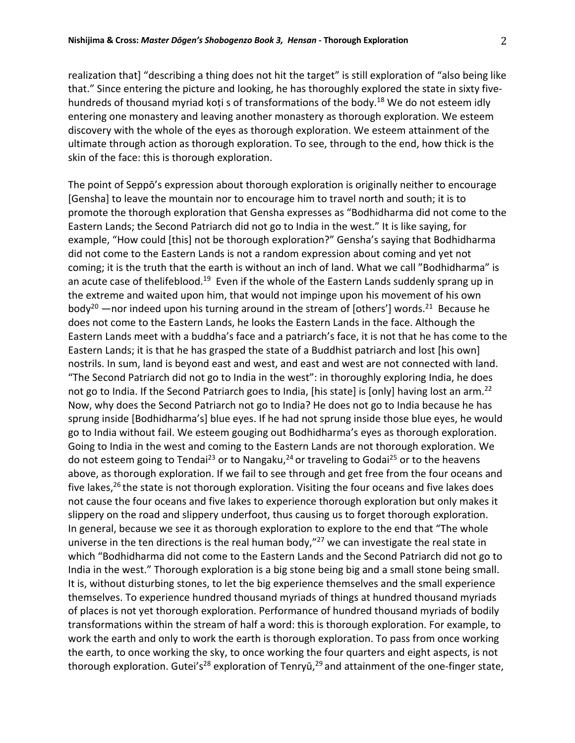realization that] "describing a thing does not hit the target" is still exploration of "also being like that." Since entering the picture and looking, he has thoroughly explored the state in sixty fivehundreds of thousand myriad koți s of transformations of the body.<sup>18</sup> We do not esteem idly entering one monastery and leaving another monastery as thorough exploration. We esteem discovery with the whole of the eyes as thorough exploration. We esteem attainment of the ultimate through action as thorough exploration. To see, through to the end, how thick is the skin of the face: this is thorough exploration.

The point of Seppō's expression about thorough exploration is originally neither to encourage [Gensha] to leave the mountain nor to encourage him to travel north and south; it is to promote the thorough exploration that Gensha expresses as "Bodhidharma did not come to the Eastern Lands; the Second Patriarch did not go to India in the west." It is like saying, for example, "How could [this] not be thorough exploration?" Gensha's saying that Bodhidharma did not come to the Eastern Lands is not a random expression about coming and yet not coming; it is the truth that the earth is without an inch of land. What we call "Bodhidharma" is an acute case of thelifeblood.<sup>19</sup> Even if the whole of the Eastern Lands suddenly sprang up in the extreme and waited upon him, that would not impinge upon his movement of his own body<sup>20</sup> —nor indeed upon his turning around in the stream of [others'] words.<sup>21</sup> Because he does not come to the Eastern Lands, he looks the Eastern Lands in the face. Although the Eastern Lands meet with a buddha's face and a patriarch's face, it is not that he has come to the Eastern Lands; it is that he has grasped the state of a Buddhist patriarch and lost [his own] nostrils. In sum, land is beyond east and west, and east and west are not connected with land. "The Second Patriarch did not go to India in the west": in thoroughly exploring India, he does not go to India. If the Second Patriarch goes to India, [his state] is [only] having lost an arm.<sup>22</sup> Now, why does the Second Patriarch not go to India? He does not go to India because he has sprung inside [Bodhidharma's] blue eyes. If he had not sprung inside those blue eyes, he would go to India without fail. We esteem gouging out Bodhidharma's eyes as thorough exploration. Going to India in the west and coming to the Eastern Lands are not thorough exploration. We do not esteem going to Tendai<sup>23</sup> or to Nangaku,  $24$  or traveling to Godai<sup>25</sup> or to the heavens above, as thorough exploration. If we fail to see through and get free from the four oceans and five lakes,<sup>26</sup> the state is not thorough exploration. Visiting the four oceans and five lakes does not cause the four oceans and five lakes to experience thorough exploration but only makes it slippery on the road and slippery underfoot, thus causing us to forget thorough exploration. In general, because we see it as thorough exploration to explore to the end that "The whole universe in the ten directions is the real human body," $^{27}$  we can investigate the real state in which "Bodhidharma did not come to the Eastern Lands and the Second Patriarch did not go to India in the west." Thorough exploration is a big stone being big and a small stone being small. It is, without disturbing stones, to let the big experience themselves and the small experience themselves. To experience hundred thousand myriads of things at hundred thousand myriads of places is not yet thorough exploration. Performance of hundred thousand myriads of bodily transformations within the stream of half a word: this is thorough exploration. For example, to work the earth and only to work the earth is thorough exploration. To pass from once working the earth, to once working the sky, to once working the four quarters and eight aspects, is not thorough exploration. Gutei's<sup>28</sup> exploration of Tenryū,<sup>29</sup> and attainment of the one-finger state,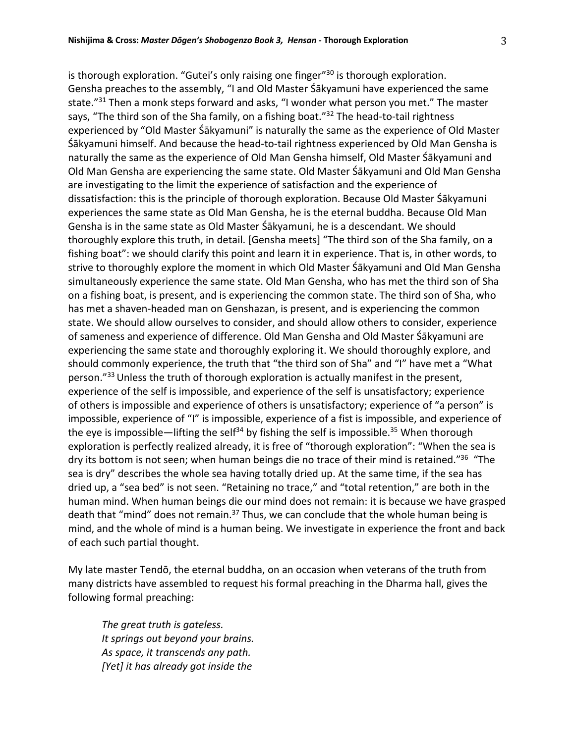is thorough exploration. "Gutei's only raising one finger"<sup>30</sup> is thorough exploration. Gensha preaches to the assembly, "I and Old Master Śākyamuni have experienced the same state."<sup>31</sup> Then a monk steps forward and asks, "I wonder what person you met." The master says, "The third son of the Sha family, on a fishing boat."<sup>32</sup> The head-to-tail rightness experienced by "Old Master Śākyamuni" is naturally the same as the experience of Old Master Śākyamuni himself. And because the head-to-tail rightness experienced by Old Man Gensha is naturally the same as the experience of Old Man Gensha himself, Old Master Śākyamuni and Old Man Gensha are experiencing the same state. Old Master Śākyamuni and Old Man Gensha are investigating to the limit the experience of satisfaction and the experience of dissatisfaction: this is the principle of thorough exploration. Because Old Master Śākyamuni experiences the same state as Old Man Gensha, he is the eternal buddha. Because Old Man Gensha is in the same state as Old Master Śākyamuni, he is a descendant. We should thoroughly explore this truth, in detail. [Gensha meets] "The third son of the Sha family, on a fishing boat": we should clarify this point and learn it in experience. That is, in other words, to strive to thoroughly explore the moment in which Old Master Śākyamuni and Old Man Gensha simultaneously experience the same state. Old Man Gensha, who has met the third son of Sha on a fishing boat, is present, and is experiencing the common state. The third son of Sha, who has met a shaven-headed man on Genshazan, is present, and is experiencing the common state. We should allow ourselves to consider, and should allow others to consider, experience of sameness and experience of difference. Old Man Gensha and Old Master Śākyamuni are experiencing the same state and thoroughly exploring it. We should thoroughly explore, and should commonly experience, the truth that "the third son of Sha" and "I" have met a "What person."<sup>33</sup> Unless the truth of thorough exploration is actually manifest in the present, experience of the self is impossible, and experience of the self is unsatisfactory; experience of others is impossible and experience of others is unsatisfactory; experience of "a person" is impossible, experience of "I" is impossible, experience of a fist is impossible, and experience of the eye is impossible—lifting the self<sup>34</sup> by fishing the self is impossible.<sup>35</sup> When thorough exploration is perfectly realized already, it is free of "thorough exploration": "When the sea is dry its bottom is not seen; when human beings die no trace of their mind is retained."<sup>36</sup> "The sea is dry" describes the whole sea having totally dried up. At the same time, if the sea has dried up, a "sea bed" is not seen. "Retaining no trace," and "total retention," are both in the human mind. When human beings die our mind does not remain: it is because we have grasped death that "mind" does not remain.<sup>37</sup> Thus, we can conclude that the whole human being is mind, and the whole of mind is a human being. We investigate in experience the front and back of each such partial thought.

My late master Tendō, the eternal buddha, on an occasion when veterans of the truth from many districts have assembled to request his formal preaching in the Dharma hall, gives the following formal preaching:

*The great truth is gateless. It springs out beyond your brains. As space, it transcends any path. [Yet] it has already got inside the*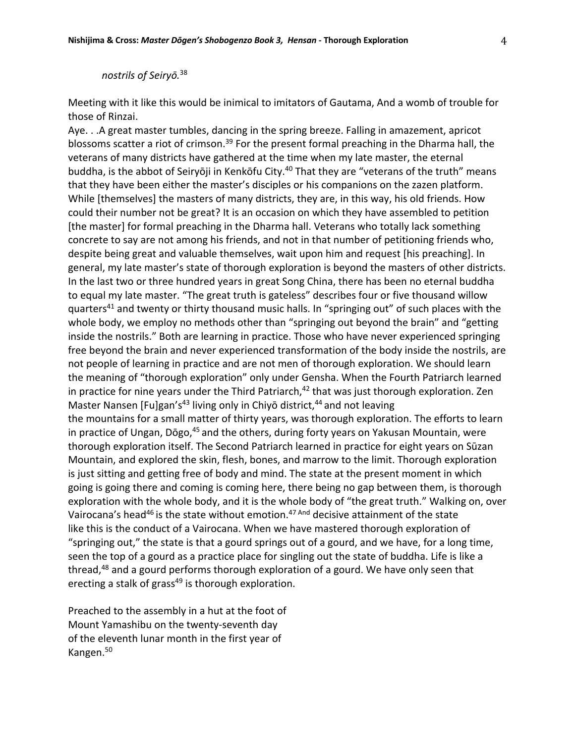## *nostrils of Seiryō.*<sup>38</sup>

Meeting with it like this would be inimical to imitators of Gautama, And a womb of trouble for those of Rinzai.

Aye. . .A great master tumbles, dancing in the spring breeze. Falling in amazement, apricot blossoms scatter a riot of crimson.<sup>39</sup> For the present formal preaching in the Dharma hall, the veterans of many districts have gathered at the time when my late master, the eternal buddha, is the abbot of Seiryōji in Kenkōfu City.<sup>40</sup> That they are "veterans of the truth" means that they have been either the master's disciples or his companions on the zazen platform. While [themselves] the masters of many districts, they are, in this way, his old friends. How could their number not be great? It is an occasion on which they have assembled to petition [the master] for formal preaching in the Dharma hall. Veterans who totally lack something concrete to say are not among his friends, and not in that number of petitioning friends who, despite being great and valuable themselves, wait upon him and request [his preaching]. In general, my late master's state of thorough exploration is beyond the masters of other districts. In the last two or three hundred years in great Song China, there has been no eternal buddha to equal my late master. "The great truth is gateless" describes four or five thousand willow quarters<sup>41</sup> and twenty or thirty thousand music halls. In "springing out" of such places with the whole body, we employ no methods other than "springing out beyond the brain" and "getting inside the nostrils." Both are learning in practice. Those who have never experienced springing free beyond the brain and never experienced transformation of the body inside the nostrils, are not people of learning in practice and are not men of thorough exploration. We should learn the meaning of "thorough exploration" only under Gensha. When the Fourth Patriarch learned in practice for nine years under the Third Patriarch, $42$  that was just thorough exploration. Zen Master Nansen [Fu]gan's<sup>43</sup> living only in Chiyō district,  $44$  and not leaving the mountains for a small matter of thirty years, was thorough exploration. The efforts to learn in practice of Ungan, Dōgo, <sup>45</sup> and the others, during forty years on Yakusan Mountain, were thorough exploration itself. The Second Patriarch learned in practice for eight years on Sūzan Mountain, and explored the skin, flesh, bones, and marrow to the limit. Thorough exploration is just sitting and getting free of body and mind. The state at the present moment in which going is going there and coming is coming here, there being no gap between them, is thorough exploration with the whole body, and it is the whole body of "the great truth." Walking on, over Vairocana's head<sup>46</sup> is the state without emotion.<sup>47 And</sup> decisive attainment of the state like this is the conduct of a Vairocana. When we have mastered thorough exploration of "springing out," the state is that a gourd springs out of a gourd, and we have, for a long time, seen the top of a gourd as a practice place for singling out the state of buddha. Life is like a thread,<sup>48</sup> and a gourd performs thorough exploration of a gourd. We have only seen that erecting a stalk of grass<sup>49</sup> is thorough exploration.

Preached to the assembly in a hut at the foot of Mount Yamashibu on the twenty-seventh day of the eleventh lunar month in the first year of Kangen.50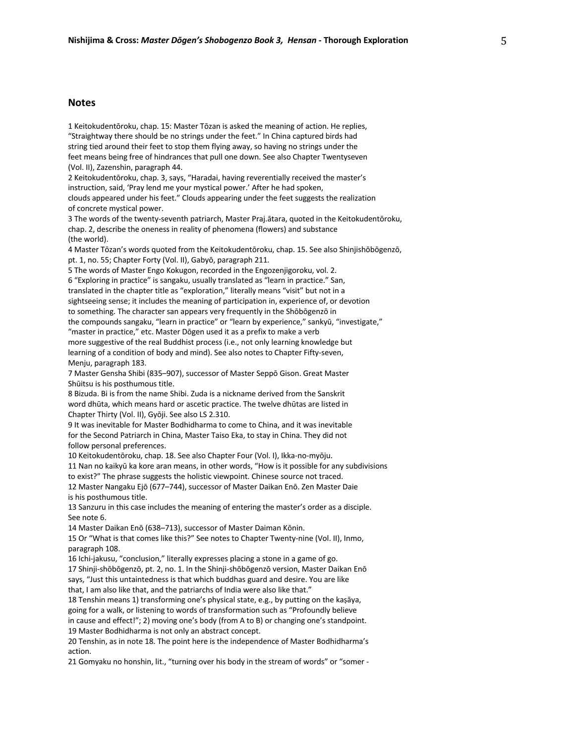## **Notes**

1 Keitokudentōroku, chap. 15: Master Tōzan is asked the meaning of action. He replies, "Straightway there should be no strings under the feet." In China captured birds had string tied around their feet to stop them flying away, so having no strings under the feet means being free of hindrances that pull one down. See also Chapter Twentyseven (Vol. II), Zazenshin, paragraph 44.

2 Keitokudentōroku, chap. 3, says, "Haradai, having reverentially received the master's instruction, said, 'Pray lend me your mystical power.' After he had spoken, clouds appeared under his feet." Clouds appearing under the feet suggests the realization of concrete mystical power.

3 The words of the twenty-seventh patriarch, Master Praj.ātara, quoted in the Keitokudentōroku, chap. 2, describe the oneness in reality of phenomena (flowers) and substance (the world).

4 Master Tōzan's words quoted from the Keitokudentōroku, chap. 15. See also Shinjishōbōgenzō, pt. 1, no. 55; Chapter Forty (Vol. II), Gabyō, paragraph 211.

5 The words of Master Engo Kokugon, recorded in the Engozenjigoroku, vol. 2. 6 "Exploring in practice" is sangaku, usually translated as "learn in practice." San,

translated in the chapter title as "exploration," literally means "visit" but not in a sightseeing sense; it includes the meaning of participation in, experience of, or devotion to something. The character san appears very frequently in the Shōbōgenzō in the compounds sangaku, "learn in practice" or "learn by experience," sankyū, "investigate," "master in practice," etc. Master Dōgen used it as a prefix to make a verb more suggestive of the real Buddhist process (i.e., not only learning knowledge but learning of a condition of body and mind). See also notes to Chapter Fifty-seven,

Menju, paragraph 183. 7 Master Gensha Shibi (835–907), successor of Master Seppō Gison. Great Master Shūitsu is his posthumous title.

8 Bizuda. Bi is from the name Shibi. Zuda is a nickname derived from the Sanskrit word dhūta, which means hard or ascetic practice. The twelve dhūtas are listed in Chapter Thirty (Vol. II), Gyōji. See also LS 2.310.

9 It was inevitable for Master Bodhidharma to come to China, and it was inevitable for the Second Patriarch in China, Master Taiso Eka, to stay in China. They did not follow personal preferences.

10 Keitokudentōroku, chap. 18. See also Chapter Four (Vol. I), Ikka-no-myōju.

11 Nan no kaikyū ka kore aran means, in other words, "How is it possible for any subdivisions to exist?" The phrase suggests the holistic viewpoint. Chinese source not traced.

12 Master Nangaku Ejō (677–744), successor of Master Daikan Enō. Zen Master Daie is his posthumous title.

13 Sanzuru in this case includes the meaning of entering the master's order as a disciple. See note 6.

14 Master Daikan Enō (638–713), successor of Master Daiman Kōnin.

15 Or "What is that comes like this?" See notes to Chapter Twenty-nine (Vol. II), Inmo, paragraph 108.

16 Ichi-jakusu, "conclusion," literally expresses placing a stone in a game of go.

17 Shinji-shōbōgenzō, pt. 2, no. 1. In the Shinji-shōbōgenzō version, Master Daikan Enō says, "Just this untaintedness is that which buddhas guard and desire. You are like that, I am also like that, and the patriarchs of India were also like that."

18 Tenshin means 1) transforming one's physical state, e.g., by putting on the kaṣāya,

going for a walk, or listening to words of transformation such as "Profoundly believe in cause and effect!"; 2) moving one's body (from A to B) or changing one's standpoint. 19 Master Bodhidharma is not only an abstract concept.

20 Tenshin, as in note 18. The point here is the independence of Master Bodhidharma's action.

21 Gomyaku no honshin, lit., "turning over his body in the stream of words" or "somer -